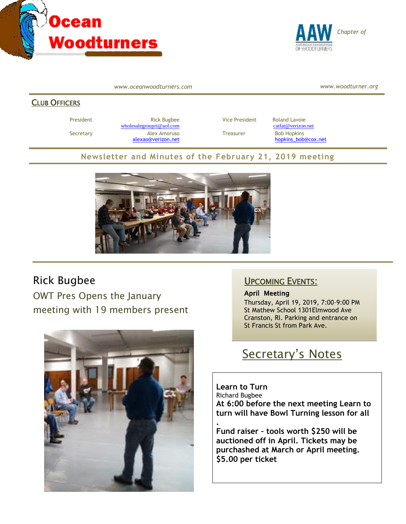



*www.oceanwoodturners.com*

*www.woodturner.org*

#### CLUB OFFICERS

President **Rick Bugbee Rick Bugbee** Vice President Roland Lavoie [wholesalegroupri@aol.com](mailto:wholesalegroupri@aol.com) [catfat@verizon.net](mailto:catfat@verizon.net) Secretary **Alex Amoruso** Treasurer Bob Hopkins

[alexao@verizon.net](mailto:alexao@verizon.net) [hopkins\\_bob@cox.net](mailto:hopkins_bob@cox.net)

#### **Newsletter and Minutes of the February 21, 2019 meeting**

**.**



### Rick Bugbee

OWT Pres Opens the January meeting with 19 members present



### UPCOMING EVENTS:

April Meeting Thursday, April 19, 2019, 7:00–9:00 PM St Mathew School 1301Elmwood Ave Cranston, RI. Parking and entrance on St Francis St from Park Ave.

# Secretary's Notes

**Learn to Turn** Richard Bugbee **At 6:00 before the next meeting Learn to turn will have Bowl Turning lesson for all**

**Fund raiser – tools worth \$250 will be auctioned off in April. Tickets may be purchashed at March or April meeting. \$5.00 per ticket**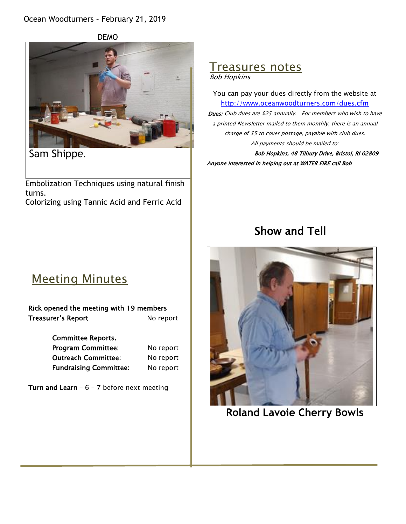#### Ocean Woodturners – February 21, 2019



Sam Shippe.

Embolization Techniques using natural finish turns. Colorizing using Tannic Acid and Ferric Acid

#### Treasures notes Bob Hopkins

You can pay your dues directly from the website at <http://www.oceanwoodturners.com/dues.cfm> Dues: Club dues are \$25 annually. For members who wish to have a printed Newsletter mailed to them monthly, there is an annual charge of \$5 to cover postage, payable with club dues. All payments should be mailed to: Bob Hopkins, 48 Tilbury Drive, Bristol, RI 02809

Anyone interested in helping out at WATER FIRE call Bob

## Show and Tell

## Meeting Minutes

| Rick opened the meeting with 19 members |           |
|-----------------------------------------|-----------|
| Treasurer's Report                      | No report |

Committee Reports. Program Committee: No report Outreach Committee: No report Fundraising Committee: No report

Turn and Learn -  $6 - 7$  before next meeting



**Roland Lavoie Cherry Bowls**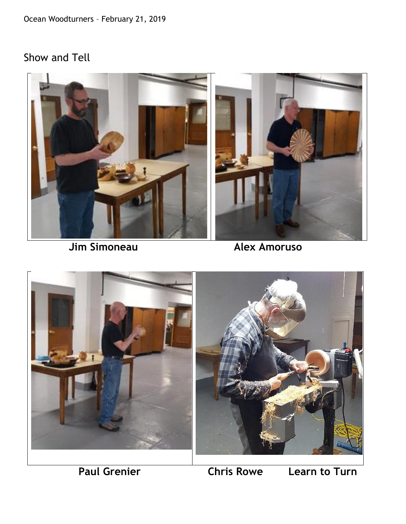## Show and Tell



 **Jim Simoneau Alex Amoruso** 



 **Paul Grenier Chris Rowe Learn to Turn**